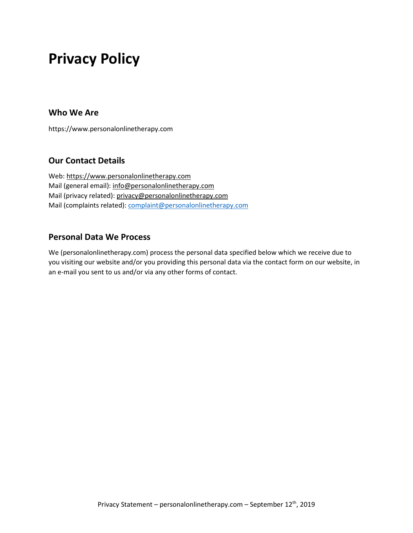# **Privacy Policy**

#### **Who We Are**

https://www.personalonlinetherapy.com

# **Our Contact Details**

Web[: https://www.personalonlinetherapy.com](https://www.personalonlinetherapy.com/) Mail (general email): [info@personalonlinetherapy.com](mailto:info@personalonlinetherapy.com) Mail (privacy related): [privacy@personalonlinetherapy.com](mailto:privacy@personalonlinetherapy.com) Mail (complaints related): [complaint@personalonlinetherapy.com](mailto:complaint@personalonlinetherapy.com)

#### **Personal Data We Process**

We (personalonlinetherapy.com) process the personal data specified below which we receive due to you visiting our website and/or you providing this personal data via the contact form on our website, in an e-mail you sent to us and/or via any other forms of contact.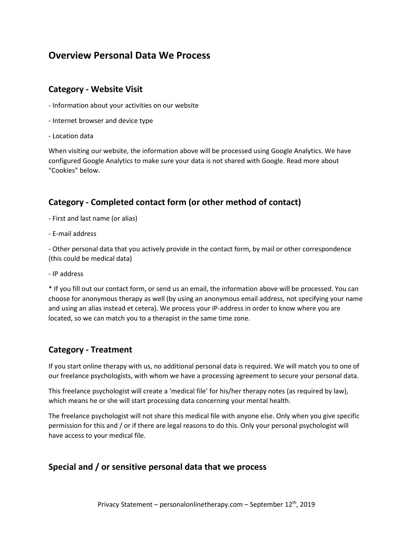# **Overview Personal Data We Process**

#### **Category - Website Visit**

- Information about your activities on our website
- Internet browser and device type
- Location data

When visiting our website, the information above will be processed using Google Analytics. We have configured Google Analytics to make sure your data is not shared with Google. Read more about "Cookies" below.

# **Category - Completed contact form (or other method of contact)**

- First and last name (or alias)
- E-mail address

- Other personal data that you actively provide in the contact form, by mail or other correspondence (this could be medical data)

- IP address

\* If you fill out our contact form, or send us an email, the information above will be processed. You can choose for anonymous therapy as well (by using an anonymous email address, not specifying your name and using an alias instead et cetera). We process your IP-address in order to know where you are located, so we can match you to a therapist in the same time zone.

#### **Category - Treatment**

If you start online therapy with us, no additional personal data is required. We will match you to one of our freelance psychologists, with whom we have a processing agreement to secure your personal data.

This freelance psychologist will create a 'medical file' for his/her therapy notes (as required by law), which means he or she will start processing data concerning your mental health.

The freelance psychologist will not share this medical file with anyone else. Only when you give specific permission for this and / or if there are legal reasons to do this. Only your personal psychologist will have access to your medical file.

#### **Special and / or sensitive personal data that we process**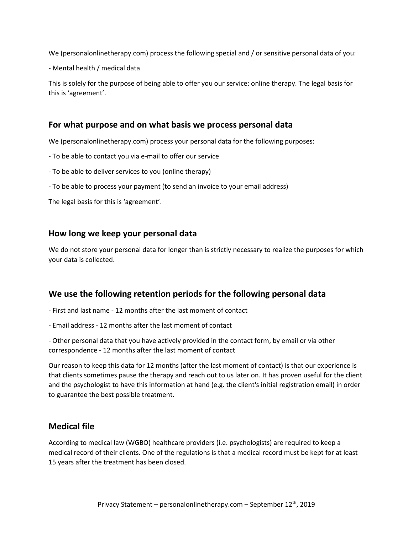We (personalonlinetherapy.com) process the following special and / or sensitive personal data of you:

- Mental health / medical data

This is solely for the purpose of being able to offer you our service: online therapy. The legal basis for this is 'agreement'.

#### **For what purpose and on what basis we process personal data**

We (personalonlinetherapy.com) process your personal data for the following purposes:

- To be able to contact you via e-mail to offer our service
- To be able to deliver services to you (online therapy)
- To be able to process your payment (to send an invoice to your email address)

The legal basis for this is 'agreement'.

#### **How long we keep your personal data**

We do not store your personal data for longer than is strictly necessary to realize the purposes for which your data is collected.

#### **We use the following retention periods for the following personal data**

- First and last name 12 months after the last moment of contact
- Email address 12 months after the last moment of contact

- Other personal data that you have actively provided in the contact form, by email or via other correspondence - 12 months after the last moment of contact

Our reason to keep this data for 12 months (after the last moment of contact) is that our experience is that clients sometimes pause the therapy and reach out to us later on. It has proven useful for the client and the psychologist to have this information at hand (e.g. the client's initial registration email) in order to guarantee the best possible treatment.

#### **Medical file**

According to medical law (WGBO) healthcare providers (i.e. psychologists) are required to keep a medical record of their clients. One of the regulations is that a medical record must be kept for at least 15 years after the treatment has been closed.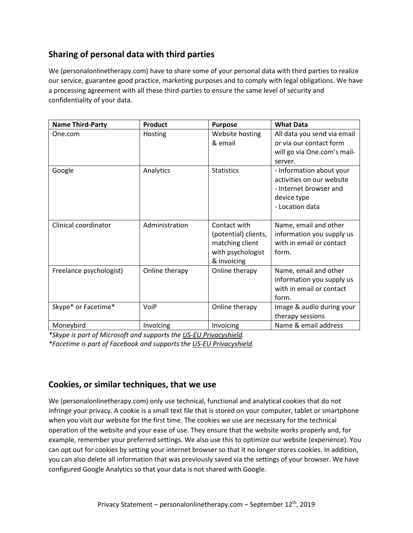# **Sharing of personal data with third parties**

We (personalonlinetherapy.com) have to share some of your personal data with third parties to realize our service, guarantee good practice, marketing purposes and to comply with legal obligations. We have a processing agreement with all these third-parties to ensure the same level of security and confidentiality of your data.

| <b>Name Third-Party</b> | <b>Product</b> | <b>Purpose</b>       | <b>What Data</b>            |
|-------------------------|----------------|----------------------|-----------------------------|
| One.com                 | Hosting        | Website hosting      | All data you send via email |
|                         |                | & email              | or via our contact form     |
|                         |                |                      | will go via One.com's mail- |
|                         |                |                      | server.                     |
| Google                  | Analytics      | <b>Statistics</b>    | - Information about your    |
|                         |                |                      | activities on our website   |
|                         |                |                      | - Internet browser and      |
|                         |                |                      | device type                 |
|                         |                |                      | - Location data             |
|                         |                |                      |                             |
| Clinical coordinator    | Administration | Contact with         | Name, email and other       |
|                         |                | (potential) clients, | information you supply us   |
|                         |                | matching client      | with in email or contact    |
|                         |                | with psychologist    | form.                       |
|                         |                | & invoicing          |                             |
| Freelance psychologist) | Online therapy | Online therapy       | Name, email and other       |
|                         |                |                      | information you supply us   |
|                         |                |                      | with in email or contact    |
|                         |                |                      | form.                       |
| Skype* or Facetime*     | VoiP           | Online therapy       | Image & audio during your   |
|                         |                |                      | therapy sessions            |
| Moneybird               | Invoicing      | Invoicing            | Name & email address        |

*\*Skype is part of Microsoft and supports the [US-EU Privacyshield.](https://www.privacyshield.gov/participant?id=a2zt0000000KzNaAAK&status=Active)*

*\*Facetime is part of Facebook and supports the [US-EU Privacyshield.](https://www.privacyshield.gov/participant?id=a2zt0000000GnywAAC&status=Active)*

# **Cookies, or similar techniques, that we use**

We (personalonlinetherapy.com) only use technical, functional and analytical cookies that do not infringe your privacy. A cookie is a small text file that is stored on your computer, tablet or smartphone when you visit our website for the first time. The cookies we use are necessary for the technical operation of the website and your ease of use. They ensure that the website works properly and, for example, remember your preferred settings. We also use this to optimize our website (experience). You can opt out for cookies by setting your internet browser so that it no longer stores cookies. In addition, you can also delete all information that was previously saved via the settings of your browser. We have configured Google Analytics so that your data is not shared with Google.